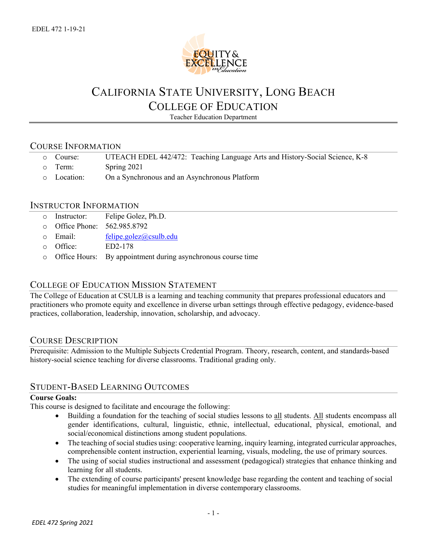

# CALIFORNIA STATE UNIVERSITY, LONG BEACH

COLLEGE OF EDUCATION

Teacher Education Department

# COURSE INFORMATION

- o Course: UTEACH EDEL 442/472: Teaching Language Arts and History-Social Science, K-8
- o Term: Spring 2021
- o Location: On a Synchronous and an Asynchronous Platform

# INSTRUCTOR INFORMATION

- o Instructor: Felipe Golez, Ph.D.
- o Office Phone: 562.985.8792
- o Email: [felipe.golez@csulb.edu](mailto:lwhitney@csulb.edu)
- o Office: ED2-178
- o Office Hours: By appointment during asynchronous course time

# COLLEGE OF EDUCATION MISSION STATEMENT

The College of Education at CSULB is a learning and teaching community that prepares professional educators and practitioners who promote equity and excellence in diverse urban settings through effective pedagogy, evidence-based practices, collaboration, leadership, innovation, scholarship, and advocacy.

# COURSE DESCRIPTION

Prerequisite: Admission to the Multiple Subjects Credential Program. Theory, research, content, and standards-based history-social science teaching for diverse classrooms. Traditional grading only.

# STUDENT-BASED LEARNING OUTCOMES

#### **Course Goals:**

This course is designed to facilitate and encourage the following:

- Building a foundation for the teaching of social studies lessons to all students. All students encompass all gender identifications, cultural, linguistic, ethnic, intellectual, educational, physical, emotional, and social/economical distinctions among student populations.
- The teaching of social studies using: cooperative learning, inquiry learning, integrated curricular approaches, comprehensible content instruction, experiential learning, visuals, modeling, the use of primary sources.
- The using of social studies instructional and assessment (pedagogical) strategies that enhance thinking and learning for all students.
- The extending of course participants' present knowledge base regarding the content and teaching of social studies for meaningful implementation in diverse contemporary classrooms.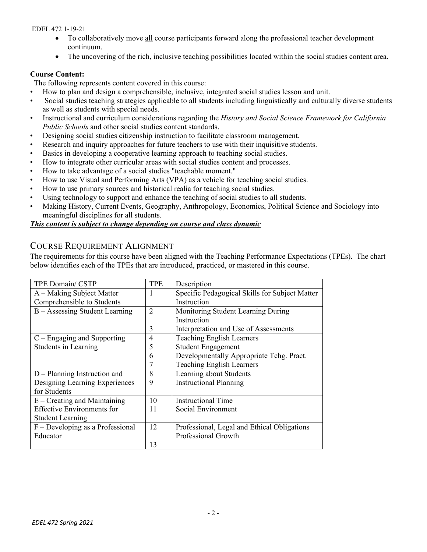#### EDEL 472 1-19-21

- To collaboratively move all course participants forward along the professional teacher development continuum.
- The uncovering of the rich, inclusive teaching possibilities located within the social studies content area.

#### **Course Content:**

The following represents content covered in this course:

- How to plan and design a comprehensible, inclusive, integrated social studies lesson and unit.
- Social studies teaching strategies applicable to all students including linguistically and culturally diverse students as well as students with special needs.
- Instructional and curriculum considerations regarding the *History and Social Science Framework for California Public Schools* and other social studies content standards.
- Designing social studies citizenship instruction to facilitate classroom management.
- Research and inquiry approaches for future teachers to use with their inquisitive students.
- Basics in developing a cooperative learning approach to teaching social studies.
- How to integrate other curricular areas with social studies content and processes.
- How to take advantage of a social studies "teachable moment."
- How to use Visual and Performing Arts (VPA) as a vehicle for teaching social studies.
- How to use primary sources and historical realia for teaching social studies.
- Using technology to support and enhance the teaching of social studies to all students.
- Making History, Current Events, Geography, Anthropology, Economics, Political Science and Sociology into meaningful disciplines for all students.

#### *This content is subject to change depending on course and class dynamic*

### COURSE REQUIREMENT ALIGNMENT

The requirements for this course have been aligned with the Teaching Performance Expectations (TPEs). The chart below identifies each of the TPEs that are introduced, practiced, or mastered in this course.

| TPE Domain/CSTP                    | TPE.           | Description                                    |
|------------------------------------|----------------|------------------------------------------------|
| A – Making Subject Matter          |                | Specific Pedagogical Skills for Subject Matter |
| Comprehensible to Students         |                | Instruction                                    |
| $B -$ Assessing Student Learning   | $\overline{2}$ | Monitoring Student Learning During             |
|                                    |                | Instruction                                    |
|                                    | 3              | Interpretation and Use of Assessments          |
| C - Engaging and Supporting        | $\overline{4}$ | <b>Teaching English Learners</b>               |
| <b>Students in Learning</b>        | 5              | <b>Student Engagement</b>                      |
|                                    | 6              | Developmentally Appropriate Tchg. Pract.       |
|                                    |                | <b>Teaching English Learners</b>               |
| $D$ – Planning Instruction and     | 8              | Learning about Students                        |
| Designing Learning Experiences     | 9              | <b>Instructional Planning</b>                  |
| for Students                       |                |                                                |
| $E -$ Creating and Maintaining     | 10             | <b>Instructional Time</b>                      |
| <b>Effective Environments for</b>  | 11             | Social Environment                             |
| <b>Student Learning</b>            |                |                                                |
| $F$ – Developing as a Professional | 12             | Professional, Legal and Ethical Obligations    |
| Educator                           |                | Professional Growth                            |
|                                    | 13             |                                                |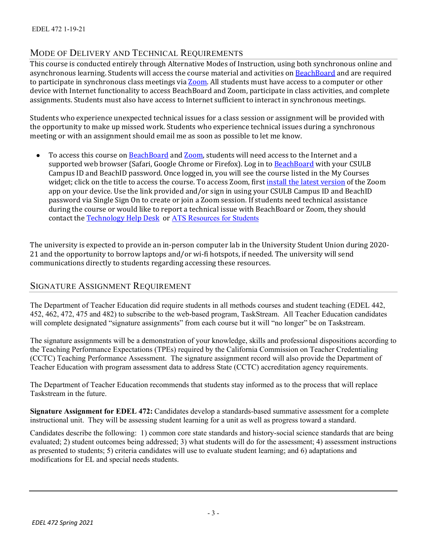# MODE OF DELIVERY AND TECHNICAL REQUIREMENTS

This course is conducted entirely through Alternative Modes of Instruction, using both synchronous online and asynchronous learning. Students will access the course material and activities on **BeachBoard** and are required to participate in synchronous class meetings via [Zoom.](https://csulb.zoom.us/meeting) All students must have access to a computer or other device with Internet functionality to access BeachBoard and Zoom, participate in class activities, and complete assignments. Students must also have access to Internet sufficient to interact in synchronous meetings.

Students who experience unexpected technical issues for a class session or assignment will be provided with the opportunity to make up missed work. Students who experience technical issues during a synchronous meeting or with an assignment should email me as soon as possible to let me know.

• To access this course on BeachBoard and [Zoom,](https://csulb.zoom.us/meeting) students will need access to the Internet and a supported web browser (Safari, Google Chrome or Firefox). Log in t[o BeachBoard](https://bbcsulb.desire2learn.com/) with your CSULB Campus ID and BeachID password. Once logged in, you will see the course listed in the My Courses widget; click on the title to access the course. To access Zoom, firs[t install the latest version](https://zoom.us/download) of the Zoom app on your device. Use the link provided and/or sign in using your CSULB Campus ID and BeachID password via Single Sign On to create or join a Zoom session. If students need technical assistance during the course or would like to report a technical issue with BeachBoard or Zoom, they should contact the [Technology Help Desk](https://www.csulb.edu/academic-technology-services/academic-technology-resources-for-students) or [ATS Resources for Students](https://www.csulb.edu/academic-technology-services/academic-technology-resources-for-students)

The university is expected to provide an in-person computer lab in the University Student Union during 2020- 21 and the opportunity to borrow laptops and/or wi-fi hotspots, if needed. The university will send communications directly to students regarding accessing these resources.

# SIGNATURE ASSIGNMENT REQUIREMENT

The Department of Teacher Education did require students in all methods courses and student teaching (EDEL 442, 452, 462, 472, 475 and 482) to subscribe to the web-based program, TaskStream. All Teacher Education candidates will complete designated "signature assignments" from each course but it will "no longer" be on Taskstream.

The signature assignments will be a demonstration of your knowledge, skills and professional dispositions according to the Teaching Performance Expectations (TPEs) required by the California Commission on Teacher Credentialing (CCTC) Teaching Performance Assessment. The signature assignment record will also provide the Department of Teacher Education with program assessment data to address State (CCTC) accreditation agency requirements.

The Department of Teacher Education recommends that students stay informed as to the process that will replace Taskstream in the future.

**Signature Assignment for EDEL 472:** Candidates develop a standards-based summative assessment for a complete instructional unit. They will be assessing student learning for a unit as well as progress toward a standard.

Candidates describe the following: 1) common core state standards and history-social science standards that are being evaluated; 2) student outcomes being addressed; 3) what students will do for the assessment; 4) assessment instructions as presented to students; 5) criteria candidates will use to evaluate student learning; and 6) adaptations and modifications for EL and special needs students.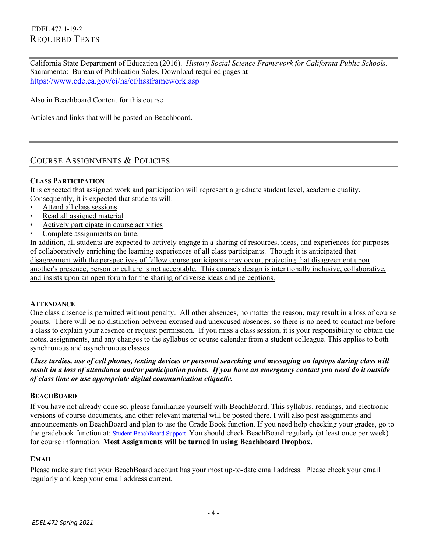California State Department of Education (2016). *History Social Science Framework for California Public Schools.*  Sacramento: Bureau of Publication Sales. Download required pages at <https://www.cde.ca.gov/ci/hs/cf/hssframework.asp>

Also in Beachboard Content for this course

Articles and links that will be posted on Beachboard.

# COURSE ASSIGNMENTS & POLICIES

#### **CLASS PARTICIPATION**

It is expected that assigned work and participation will represent a graduate student level, academic quality. Consequently, it is expected that students will:

- Attend all class sessions
- Read all assigned material
- Actively participate in course activities
- Complete assignments on time.

In addition, all students are expected to actively engage in a sharing of resources, ideas, and experiences for purposes of collaboratively enriching the learning experiences of all class participants. Though it is anticipated that disagreement with the perspectives of fellow course participants may occur, projecting that disagreement upon another's presence, person or culture is not acceptable. This course's design is intentionally inclusive, collaborative, and insists upon an open forum for the sharing of diverse ideas and perceptions.

#### **ATTENDANCE**

One class absence is permitted without penalty. All other absences, no matter the reason, may result in a loss of course points. There will be no distinction between excused and unexcused absences, so there is no need to contact me before a class to explain your absence or request permission. If you miss a class session, it is your responsibility to obtain the notes, assignments, and any changes to the syllabus or course calendar from a student colleague. This applies to both synchronous and asynchronous classes

*Class tardies, use of cell phones, texting devices or personal searching and messaging on laptops during class will result in a loss of attendance and/or participation points. If you have an emergency contact you need do it outside of class time or use appropriate digital communication etiquette.*

#### **BEACHBOARD**

If you have not already done so, please familiarize yourself with BeachBoard. This syllabus, readings, and electronic versions of course documents, and other relevant material will be posted there. I will also post assignments and announcements on BeachBoard and plan to use the Grade Book function. If you need help checking your grades, go to the gradebook function at: [Student BeachBoard Support](http://www.csulb.edu/academic-technology-services/instructional-design/student-support/student-beachboard-support) You should check BeachBoard regularly (at least once per week) for course information. **Most Assignments will be turned in using Beachboard Dropbox.**

#### **EMAIL**

Please make sure that your BeachBoard account has your most up-to-date email address. Please check your email regularly and keep your email address current.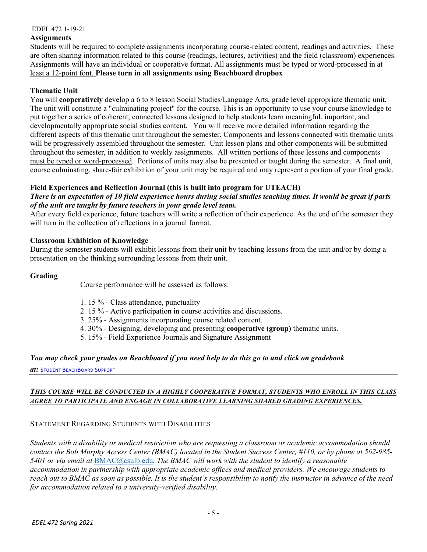#### EDEL 472 1-19-21

#### **Assignments**

Students will be required to complete assignments incorporating course-related content, readings and activities. These are often sharing information related to this course (readings, lectures, activities) and the field (classroom) experiences. Assignments will have an individual or cooperative format. All assignments must be typed or word-processed in at least a 12-point font. **Please turn in all assignments using Beachboard dropbox**

#### **Thematic Unit**

You will **cooperatively** develop a 6 to 8 lesson Social Studies/Language Arts, grade level appropriate thematic unit. The unit will constitute a "culminating project" for the course. This is an opportunity to use your course knowledge to put together a series of coherent, connected lessons designed to help students learn meaningful, important, and developmentally appropriate social studies content. You will receive more detailed information regarding the different aspects of this thematic unit throughout the semester. Components and lessons connected with thematic units will be progressively assembled throughout the semester. Unit lesson plans and other components will be submitted throughout the semester, in addition to weekly assignments. All written portions of these lessons and components must be typed or word-processed. Portions of units may also be presented or taught during the semester. A final unit, course culminating, share-fair exhibition of your unit may be required and may represent a portion of your final grade.

#### **Field Experiences and Reflection Journal (this is built into program for UTEACH)**

#### *There is an expectation of 10 field experience hours during social studies teaching times. It would be great if parts of the unit are taught by future teachers in your grade level team.*

After every field experience, future teachers will write a reflection of their experience. As the end of the semester they will turn in the collection of reflections in a journal format.

#### **Classroom Exhibition of Knowledge**

During the semester students will exhibit lessons from their unit by teaching lessons from the unit and/or by doing a presentation on the thinking surrounding lessons from their unit.

#### **Grading**

Course performance will be assessed as follows:

- 1. 15 % Class attendance, punctuality
- 2. 15 % Active participation in course activities and discussions.
- 3. 25% Assignments incorporating course related content.
- 4. 30% Designing, developing and presenting **cooperative (group)** thematic units.
- 5. 15% Field Experience Journals and Signature Assignment

#### *You may check your grades on Beachboard if you need help to do this go to and click on gradebook*

*at:* [STUDENT BEACHBOARD SUPPORT](http://www.csulb.edu/academic-technology-services/instructional-design/student-support/student-beachboard-support)

#### *THIS COURSE WILL BE CONDUCTED IN A HIGHLY COOPERATIVE FORMAT, STUDENTS WHO ENROLL IN THIS CLASS AGREE TO PARTICIPATE AND ENGAGE IN COLLABORATIVE LEARNING SHARED GRADING EXPERIENCES.*

#### STATEMENT REGARDING STUDENTS WITH DISABILITIES

*Students with a disability or medical restriction who are requesting a classroom or academic accommodation should contact the Bob Murphy Access Center (BMAC) located in the Student Success Center, #110, or by phone at 562-985- 5401 or via email at* [BMAC@csulb.edu](mailto:BMAC@csulb.edu)*. The BMAC will work with the student to identify a reasonable accommodation in partnership with appropriate academic offices and medical providers. We encourage students to reach out to BMAC as soon as possible. It is the student's responsibility to notify the instructor in advance of the need for accommodation related to a university-verified disability.*